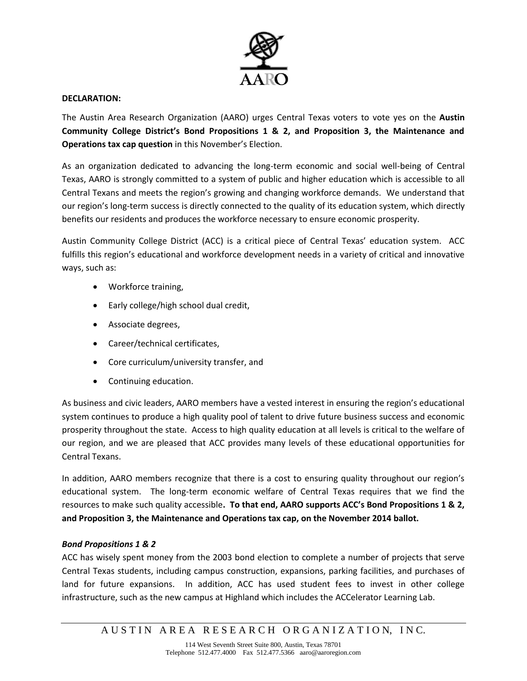

## **DECLARATION:**

The Austin Area Research Organization (AARO) urges Central Texas voters to vote yes on the **Austin Community College District's Bond Propositions 1 & 2, and Proposition 3, the Maintenance and Operations tax cap question** in this November's Election.

As an organization dedicated to advancing the long-term economic and social well-being of Central Texas, AARO is strongly committed to a system of public and higher education which is accessible to all Central Texans and meets the region's growing and changing workforce demands. We understand that our region's long-term success is directly connected to the quality of its education system, which directly benefits our residents and produces the workforce necessary to ensure economic prosperity.

Austin Community College District (ACC) is a critical piece of Central Texas' education system. ACC fulfills this region's educational and workforce development needs in a variety of critical and innovative ways, such as:

- Workforce training,
- Early college/high school dual credit,
- Associate degrees,
- Career/technical certificates,
- Core curriculum/university transfer, and
- Continuing education.

As business and civic leaders, AARO members have a vested interest in ensuring the region's educational system continues to produce a high quality pool of talent to drive future business success and economic prosperity throughout the state. Access to high quality education at all levels is critical to the welfare of our region, and we are pleased that ACC provides many levels of these educational opportunities for Central Texans.

In addition, AARO members recognize that there is a cost to ensuring quality throughout our region's educational system. The long-term economic welfare of Central Texas requires that we find the resources to make such quality accessible**. To that end, AARO supports ACC's Bond Propositions 1 & 2, and Proposition 3, the Maintenance and Operations tax cap, on the November 2014 ballot.**

## *Bond Propositions 1 & 2*

ACC has wisely spent money from the 2003 bond election to complete a number of projects that serve Central Texas students, including campus construction, expansions, parking facilities, and purchases of land for future expansions. In addition, ACC has used student fees to invest in other college infrastructure, such as the new campus at Highland which includes the ACCelerator Learning Lab.